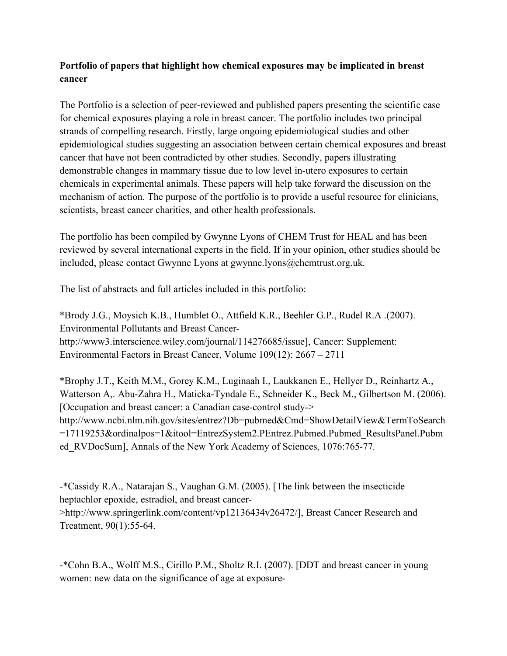## **Portfolio of papers that highlight how chemical exposures may be implicated in breast cancer**

The Portfolio is a selection of peer-reviewed and published papers presenting the scientific case for chemical exposures playing a role in breast cancer. The portfolio includes two principal strands of compelling research. Firstly, large ongoing epidemiological studies and other epidemiological studies suggesting an association between certain chemical exposures and breast cancer that have not been contradicted by other studies. Secondly, papers illustrating demonstrable changes in mammary tissue due to low level in-utero exposures to certain chemicals in experimental animals. These papers will help take forward the discussion on the mechanism of action. The purpose of the portfolio is to provide a useful resource for clinicians, scientists, breast cancer charities, and other health professionals.

The portfolio has been compiled by Gwynne Lyons of CHEM Trust for HEAL and has been reviewed by several international experts in the field. If in your opinion, other studies should be included, please contact Gwynne Lyons at gwynne.lyons@chemtrust.org.uk.

The list of abstracts and full articles included in this portfolio:

\*Brody J.G., Moysich K.B., Humblet O., Attfield K.R., Beehler G.P., Rudel R.A .(2007). Environmental Pollutants and Breast Cancerhttp://www3.interscience.wiley.com/journal/114276685/issue], Cancer: Supplement: Environmental Factors in Breast Cancer, Volume 109(12): 2667 – 2711

\*Brophy J.T., Keith M.M., Gorey K.M., Luginaah I., Laukkanen E., Hellyer D., Reinhartz A., Watterson A,. Abu-Zahra H., Maticka-Tyndale E., Schneider K., Beck M., Gilbertson M. (2006). [Occupation and breast cancer: a Canadian case-control study-> http://www.ncbi.nlm.nih.gov/sites/entrez?Db=pubmed&Cmd=ShowDetailView&TermToSearch =17119253&ordinalpos=1&itool=EntrezSystem2.PEntrez.Pubmed.Pubmed\_ResultsPanel.Pubm ed RVDocSum], Annals of the New York Academy of Sciences, 1076:765-77.

-\*Cassidy R.A., Natarajan S., Vaughan G.M. (2005). [The link between the insecticide heptachlor epoxide, estradiol, and breast cancer- >http://www.springerlink.com/content/vp12136434v26472/], Breast Cancer Research and Treatment, 90(1):55-64.

-\*Cohn B.A., Wolff M.S., Cirillo P.M., Sholtz R.I. (2007). [DDT and breast cancer in young women: new data on the significance of age at exposure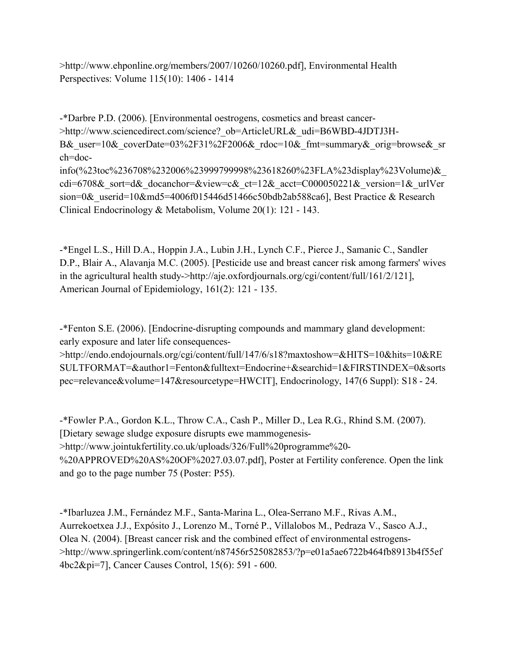>http://www.ehponline.org/members/2007/10260/10260.pdf], Environmental Health Perspectives: Volume 115(10): 1406 - 1414

-\*Darbre P.D. (2006). [Environmental oestrogens, cosmetics and breast cancer- >http://www.sciencedirect.com/science? ob=ArticleURL& udi=B6WBD-4JDTJ3H-B& user=10& coverDate=03%2F31%2F2006& rdoc=10& fmt=summary& orig=browse& sr ch=docinfo(%23toc%236708%232006%23999799998%23618260%23FLA%23display%23Volume)&\_ cdi=6708& sort=d& docanchor=&view=c& ct=12& acct=C000050221& version=1& urlVer sion=0& userid=10&md5=4006f015446d51466c50bdb2ab588ca6], Best Practice & Research Clinical Endocrinology & Metabolism, Volume 20(1): 121 - 143.

-\*Engel L.S., Hill D.A., Hoppin J.A., Lubin J.H., Lynch C.F., Pierce J., Samanic C., Sandler D.P., Blair A., Alavanja M.C. (2005). [Pesticide use and breast cancer risk among farmers' wives in the agricultural health study->http://aje.oxfordjournals.org/cgi/content/full/161/2/121], American Journal of Epidemiology, 161(2): 121 - 135.

-\*Fenton S.E. (2006). [Endocrine-disrupting compounds and mammary gland development: early exposure and later life consequences-

>http://endo.endojournals.org/cgi/content/full/147/6/s18?maxtoshow=&HITS=10&hits=10&RE SULTFORMAT=&author1=Fenton&fulltext=Endocrine+&searchid=1&FIRSTINDEX=0&sorts pec=relevance&volume=147&resourcetype=HWCIT], Endocrinology, 147(6 Suppl): S18 - 24.

-\*Fowler P.A., Gordon K.L., Throw C.A., Cash P., Miller D., Lea R.G., Rhind S.M. (2007). [Dietary sewage sludge exposure disrupts ewe mammogenesis- >http://www.jointukfertility.co.uk/uploads/326/Full%20programme%20- %20APPROVED%20AS%20OF%2027.03.07.pdf], Poster at Fertility conference. Open the link and go to the page number 75 (Poster: P55).

-\*Ibarluzea J.M., Fernández M.F., Santa-Marina L., Olea-Serrano M.F., Rivas A.M., Aurrekoetxea J.J., Expósito J., Lorenzo M., Torné P., Villalobos M., Pedraza V., Sasco A.J., Olea N. (2004). [Breast cancer risk and the combined effect of environmental estrogens- >http://www.springerlink.com/content/n87456r525082853/?p=e01a5ae6722b464fb8913b4f55ef 4bc2&pi=7], Cancer Causes Control, 15(6): 591 - 600.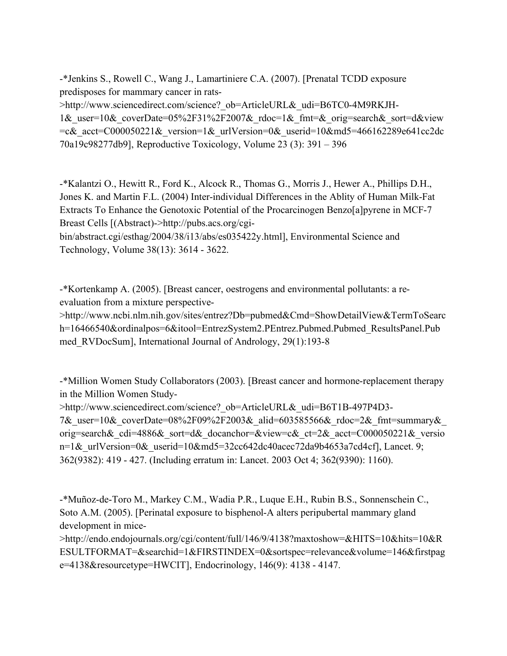-\*Jenkins S., Rowell C., Wang J., Lamartiniere C.A. (2007). [Prenatal TCDD exposure predisposes for mammary cancer in rats- >http://www.sciencedirect.com/science? ob=ArticleURL& udi=B6TC0-4M9RKJH-1& user=10& coverDate=05%2F31%2F2007& rdoc=1& fmt=& orig=search& sort=d&view  $=c&$  acct=C000050221& version=1& urlVersion=0& userid=10&md5=466162289e641cc2dc 70a19c98277db9], Reproductive Toxicology, Volume 23 (3): 391 – 396

-\*Kalantzi O., Hewitt R., Ford K., Alcock R., Thomas G., Morris J., Hewer A., Phillips D.H., Jones K. and Martin F.L. (2004) Inter-individual Differences in the Ablity of Human Milk-Fat Extracts To Enhance the Genotoxic Potential of the Procarcinogen Benzo[a]pyrene in MCF-7 Breast Cells [(Abstract)->http://pubs.acs.org/cgi-

bin/abstract.cgi/esthag/2004/38/i13/abs/es035422y.html], Environmental Science and Technology, Volume 38(13): 3614 - 3622.

-\*Kortenkamp A. (2005). [Breast cancer, oestrogens and environmental pollutants: a reevaluation from a mixture perspective-

>http://www.ncbi.nlm.nih.gov/sites/entrez?Db=pubmed&Cmd=ShowDetailView&TermToSearc h=16466540&ordinalpos=6&itool=EntrezSystem2.PEntrez.Pubmed.Pubmed\_ResultsPanel.Pub med\_RVDocSum], International Journal of Andrology, 29(1):193-8

-\*Million Women Study Collaborators (2003). [Breast cancer and hormone-replacement therapy in the Million Women Study-

>http://www.sciencedirect.com/science? ob=ArticleURL& udi=B6T1B-497P4D3-7&\_user=10&\_coverDate=08%2F09%2F2003&\_alid=603585566&\_rdoc=2&\_fmt=summary&\_ orig=search& cdi=4886& sort=d& docanchor=&view=c& ct=2& acct=C000050221& versio n=1& urlVersion=0& userid=10&md5=32cc642dc40acec72da9b4653a7cd4cf], Lancet. 9; 362(9382): 419 - 427. (Including erratum in: Lancet. 2003 Oct 4; 362(9390): 1160).

-\*Muñoz-de-Toro M., Markey C.M., Wadia P.R., Luque E.H., Rubin B.S., Sonnenschein C., Soto A.M. (2005). [Perinatal exposure to bisphenol-A alters peripubertal mammary gland development in mice-

>http://endo.endojournals.org/cgi/content/full/146/9/4138?maxtoshow=&HITS=10&hits=10&R ESULTFORMAT=&searchid=1&FIRSTINDEX=0&sortspec=relevance&volume=146&firstpag e=4138&resourcetype=HWCIT], Endocrinology, 146(9): 4138 - 4147.